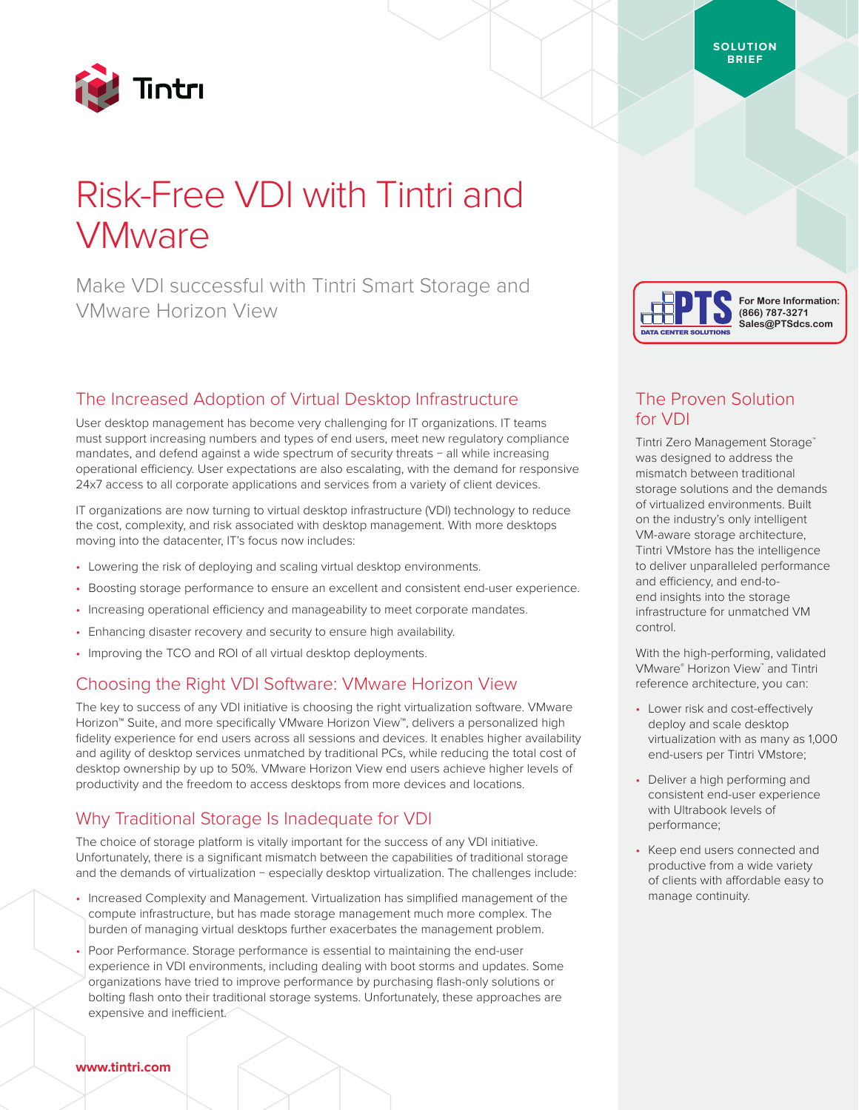

# Risk-Free VDI with Tintri and **VMware**

Make VDI successful with Tintri Smart Storage and VMware Horizon View

## The Increased Adoption of Virtual Desktop Infrastructure

User desktop management has become very challenging for IT organizations. IT teams must support increasing numbers and types of end users, meet new regulatory compliance mandates, and defend against a wide spectrum of security threats − all while increasing operational efficiency. User expectations are also escalating, with the demand for responsive 24x7 access to all corporate applications and services from a variety of client devices.

IT organizations are now turning to virtual desktop infrastructure (VDI) technology to reduce the cost, complexity, and risk associated with desktop management. With more desktops moving into the datacenter, IT's focus now includes:

- Lowering the risk of deploying and scaling virtual desktop environments.
- Boosting storage performance to ensure an excellent and consistent end-user experience.
- Increasing operational efficiency and manageability to meet corporate mandates.
- Enhancing disaster recovery and security to ensure high availability.
- Improving the TCO and ROI of all virtual desktop deployments.

#### Choosing the Right VDI Software: VMware Horizon View

The key to success of any VDI initiative is choosing the right virtualization software. VMware Horizon™ Suite, and more specifically VMware Horizon View™, delivers a personalized high fidelity experience for end users across all sessions and devices. It enables higher availability and agility of desktop services unmatched by traditional PCs, while reducing the total cost of desktop ownership by up to 50%. VMware Horizon View end users achieve higher levels of productivity and the freedom to access desktops from more devices and locations.

## Why Traditional Storage Is Inadequate for VDI

The choice of storage platform is vitally important for the success of any VDI initiative. Unfortunately, there is a significant mismatch between the capabilities of traditional storage and the demands of virtualization − especially desktop virtualization. The challenges include:

- Increased Complexity and Management. Virtualization has simplified management of the compute infrastructure, but has made storage management much more complex. The burden of managing virtual desktops further exacerbates the management problem.
- Poor Performance. Storage performance is essential to maintaining the end-user experience in VDI environments, including dealing with boot storms and updates. Some organizations have tried to improve performance by purchasing flash-only solutions or bolting flash onto their traditional storage systems. Unfortunately, these approaches are expensive and inefficient.

# DATA CENTER SOLUTIONS



# The Proven Solution for VDI

Tintri Zero Management Storage™ was designed to address the mismatch between traditional storage solutions and the demands of virtualized environments. Built on the industry's only intelligent VM-aware storage architecture, Tintri VMstore has the intelligence to deliver unparalleled performance and efficiency, and end-toend insights into the storage infrastructure for unmatched VM control.

With the high-performing, validated VMware® Horizon View™ and Tintri reference architecture, you can:

- Lower risk and cost-effectively deploy and scale desktop virtualization with as many as 1,000 end-users per Tintri VMstore;
- Deliver a high performing and consistent end-user experience with Ultrabook levels of performance;
- Keep end users connected and productive from a wide variety of clients with affordable easy to manage continuity.

**SOLUTION BRIEF**

#### **www.tintri.com**